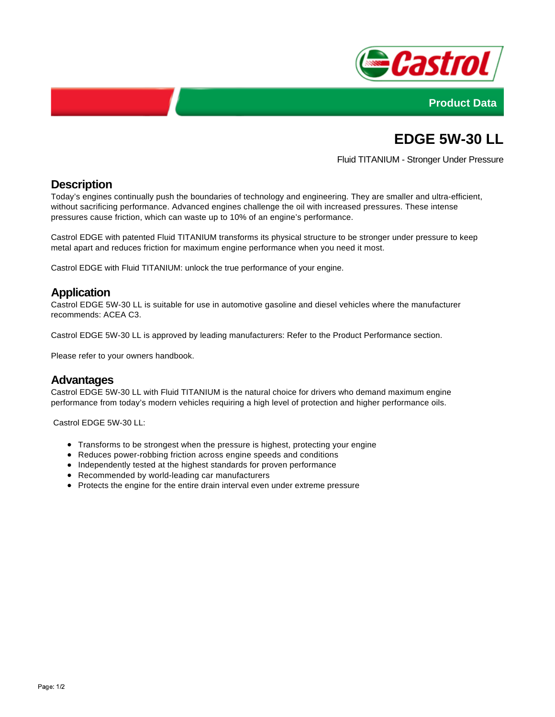



# **EDGE 5W-30 LL**

Fluid TITANIUM - Stronger Under Pressure

# **Description**

Today's engines continually push the boundaries of technology and engineering. They are smaller and ultra-efficient, without sacrificing performance. Advanced engines challenge the oil with increased pressures. These intense pressures cause friction, which can waste up to 10% of an engine's performance.

Castrol EDGE with patented Fluid TITANIUM transforms its physical structure to be stronger under pressure to keep metal apart and reduces friction for maximum engine performance when you need it most.

Castrol EDGE with Fluid TITANIUM: unlock the true performance of your engine.

### **Application**

Castrol EDGE 5W-30 LL is suitable for use in automotive gasoline and diesel vehicles where the manufacturer recommends: ACEA C3.

Castrol EDGE 5W-30 LL is approved by leading manufacturers: Refer to the Product Performance section.

Please refer to your owners handbook.

#### **Advantages**

Castrol EDGE 5W-30 LL with Fluid TITANIUM is the natural choice for drivers who demand maximum engine performance from today's modern vehicles requiring a high level of protection and higher performance oils.

Castrol EDGE 5W-30 LL:

- Transforms to be strongest when the pressure is highest, protecting your engine
- Reduces power-robbing friction across engine speeds and conditions
- Independently tested at the highest standards for proven performance
- Recommended by world-leading car manufacturers
- Protects the engine for the entire drain interval even under extreme pressure